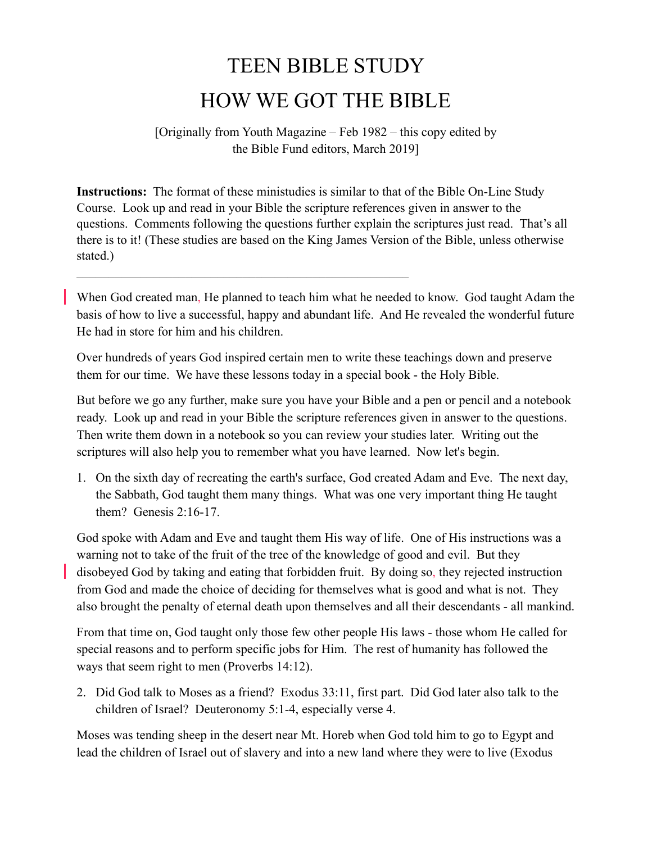## TEEN BIBLE STUDY HOW WE GOT THE BIBLE

## [Originally from Youth Magazine – Feb 1982 – this copy edited by the Bible Fund editors, March 2019]

**Instructions:** The format of these ministudies is similar to that of the Bible On-Line Study Course. Look up and read in your Bible the scripture references given in answer to the questions. Comments following the questions further explain the scriptures just read. That's all there is to it! (These studies are based on the King James Version of the Bible, unless otherwise stated.)

 $\mathcal{L}_\text{max}$  , and the contract of the contract of the contract of the contract of the contract of the contract of

When God created man, He planned to teach him what he needed to know. God taught Adam the basis of how to live a successful, happy and abundant life. And He revealed the wonderful future He had in store for him and his children.

Over hundreds of years God inspired certain men to write these teachings down and preserve them for our time. We have these lessons today in a special book - the Holy Bible.

But before we go any further, make sure you have your Bible and a pen or pencil and a notebook ready. Look up and read in your Bible the scripture references given in answer to the questions. Then write them down in a notebook so you can review your studies later. Writing out the scriptures will also help you to remember what you have learned. Now let's begin.

1. On the sixth day of recreating the earth's surface, God created Adam and Eve. The next day, the Sabbath, God taught them many things. What was one very important thing He taught them? Genesis 2:16-17.

God spoke with Adam and Eve and taught them His way of life. One of His instructions was a warning not to take of the fruit of the tree of the knowledge of good and evil. But they disobeyed God by taking and eating that forbidden fruit. By doing so, they rejected instruction from God and made the choice of deciding for themselves what is good and what is not. They also brought the penalty of eternal death upon themselves and all their descendants - all mankind.

From that time on, God taught only those few other people His laws - those whom He called for special reasons and to perform specific jobs for Him. The rest of humanity has followed the ways that seem right to men (Proverbs 14:12).

2. Did God talk to Moses as a friend? Exodus 33:11, first part. Did God later also talk to the children of Israel? Deuteronomy 5:1-4, especially verse 4.

Moses was tending sheep in the desert near Mt. Horeb when God told him to go to Egypt and lead the children of Israel out of slavery and into a new land where they were to live (Exodus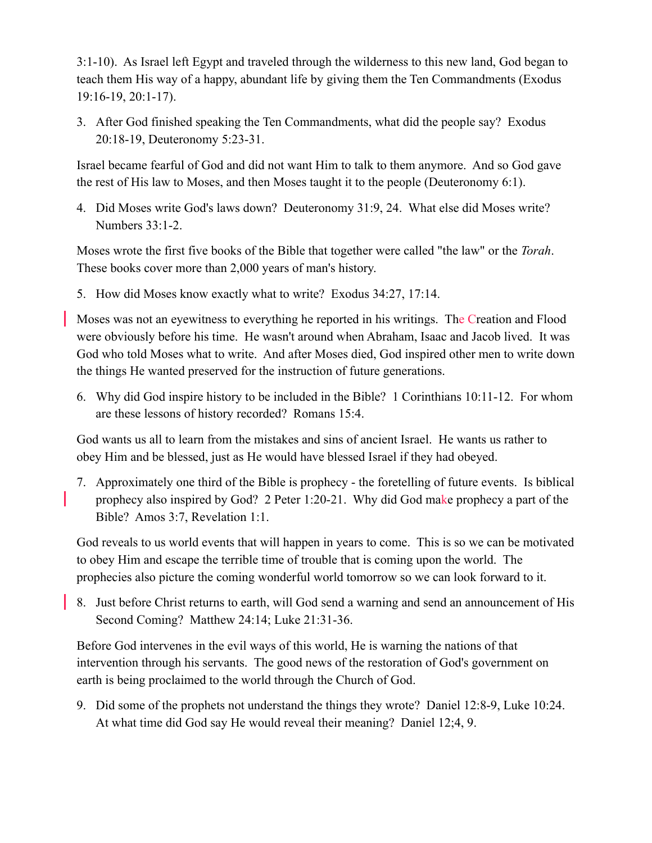3:1-10). As Israel left Egypt and traveled through the wilderness to this new land, God began to teach them His way of a happy, abundant life by giving them the Ten Commandments (Exodus 19:16-19, 20:1-17).

3. After God finished speaking the Ten Commandments, what did the people say? Exodus 20:18-19, Deuteronomy 5:23-31.

Israel became fearful of God and did not want Him to talk to them anymore. And so God gave the rest of His law to Moses, and then Moses taught it to the people (Deuteronomy 6:1).

4. Did Moses write God's laws down? Deuteronomy 31:9, 24. What else did Moses write? Numbers 33:1-2.

Moses wrote the first five books of the Bible that together were called "the law" or the *Torah*. These books cover more than 2,000 years of man's history.

5. How did Moses know exactly what to write? Exodus 34:27, 17:14.

Moses was not an eyewitness to everything he reported in his writings. The Creation and Flood were obviously before his time. He wasn't around when Abraham, Isaac and Jacob lived. It was God who told Moses what to write. And after Moses died, God inspired other men to write down the things He wanted preserved for the instruction of future generations.

6. Why did God inspire history to be included in the Bible? 1 Corinthians 10:11-12. For whom are these lessons of history recorded? Romans 15:4.

God wants us all to learn from the mistakes and sins of ancient Israel. He wants us rather to obey Him and be blessed, just as He would have blessed Israel if they had obeyed.

7. Approximately one third of the Bible is prophecy - the foretelling of future events. Is biblical prophecy also inspired by God? 2 Peter 1:20-21. Why did God make prophecy a part of the Bible? Amos 3:7, Revelation 1:1.

God reveals to us world events that will happen in years to come. This is so we can be motivated to obey Him and escape the terrible time of trouble that is coming upon the world. The prophecies also picture the coming wonderful world tomorrow so we can look forward to it.

8. Just before Christ returns to earth, will God send a warning and send an announcement of His Second Coming? Matthew 24:14; Luke 21:31-36.

Before God intervenes in the evil ways of this world, He is warning the nations of that intervention through his servants. The good news of the restoration of God's government on earth is being proclaimed to the world through the Church of God.

9. Did some of the prophets not understand the things they wrote? Daniel 12:8-9, Luke 10:24. At what time did God say He would reveal their meaning? Daniel 12;4, 9.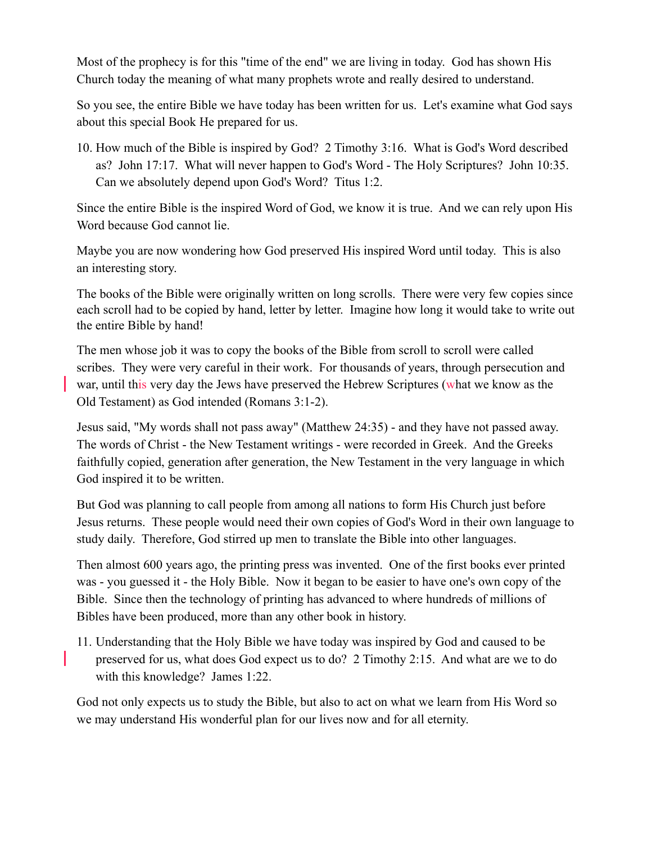Most of the prophecy is for this "time of the end" we are living in today. God has shown His Church today the meaning of what many prophets wrote and really desired to understand.

So you see, the entire Bible we have today has been written for us. Let's examine what God says about this special Book He prepared for us.

10. How much of the Bible is inspired by God? 2 Timothy 3:16. What is God's Word described as? John 17:17. What will never happen to God's Word - The Holy Scriptures? John 10:35. Can we absolutely depend upon God's Word? Titus 1:2.

Since the entire Bible is the inspired Word of God, we know it is true. And we can rely upon His Word because God cannot lie.

Maybe you are now wondering how God preserved His inspired Word until today. This is also an interesting story.

The books of the Bible were originally written on long scrolls. There were very few copies since each scroll had to be copied by hand, letter by letter. Imagine how long it would take to write out the entire Bible by hand!

The men whose job it was to copy the books of the Bible from scroll to scroll were called scribes. They were very careful in their work. For thousands of years, through persecution and war, until this very day the Jews have preserved the Hebrew Scriptures (what we know as the Old Testament) as God intended (Romans 3:1-2).

Jesus said, "My words shall not pass away" (Matthew 24:35) - and they have not passed away. The words of Christ - the New Testament writings - were recorded in Greek. And the Greeks faithfully copied, generation after generation, the New Testament in the very language in which God inspired it to be written.

But God was planning to call people from among all nations to form His Church just before Jesus returns. These people would need their own copies of God's Word in their own language to study daily. Therefore, God stirred up men to translate the Bible into other languages.

Then almost 600 years ago, the printing press was invented. One of the first books ever printed was - you guessed it - the Holy Bible. Now it began to be easier to have one's own copy of the Bible. Since then the technology of printing has advanced to where hundreds of millions of Bibles have been produced, more than any other book in history.

11. Understanding that the Holy Bible we have today was inspired by God and caused to be preserved for us, what does God expect us to do? 2 Timothy 2:15. And what are we to do with this knowledge? James 1:22.

God not only expects us to study the Bible, but also to act on what we learn from His Word so we may understand His wonderful plan for our lives now and for all eternity.